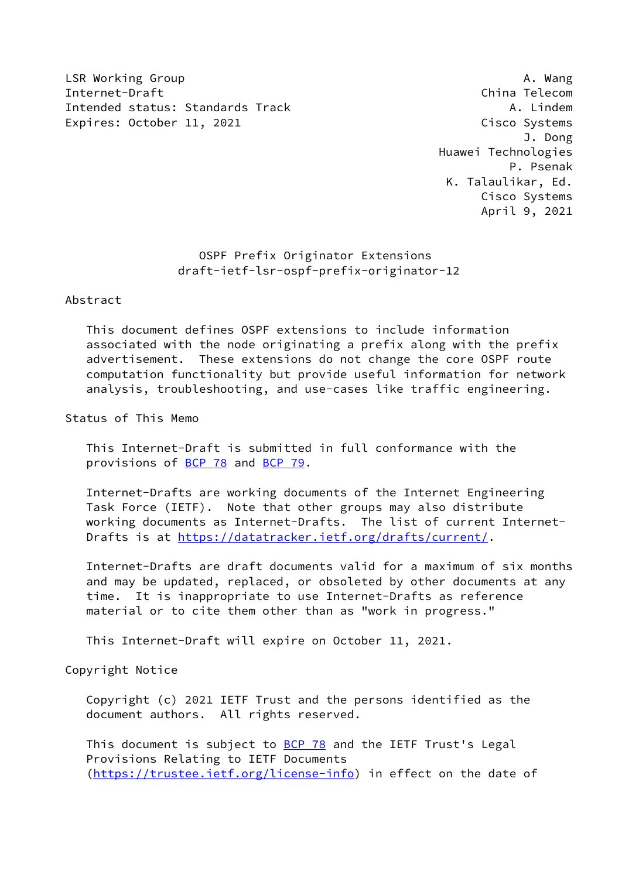LSR Working Group **A. Wang** Internet-Draft China Telecom Intended status: Standards Track A. Lindem Expires: October 11, 2021 Cisco Systems

 J. Dong Huawei Technologies P. Psenak K. Talaulikar, Ed. Cisco Systems April 9, 2021

> OSPF Prefix Originator Extensions draft-ietf-lsr-ospf-prefix-originator-12

Abstract

 This document defines OSPF extensions to include information associated with the node originating a prefix along with the prefix advertisement. These extensions do not change the core OSPF route computation functionality but provide useful information for network analysis, troubleshooting, and use-cases like traffic engineering.

Status of This Memo

 This Internet-Draft is submitted in full conformance with the provisions of [BCP 78](https://datatracker.ietf.org/doc/pdf/bcp78) and [BCP 79](https://datatracker.ietf.org/doc/pdf/bcp79).

 Internet-Drafts are working documents of the Internet Engineering Task Force (IETF). Note that other groups may also distribute working documents as Internet-Drafts. The list of current Internet- Drafts is at<https://datatracker.ietf.org/drafts/current/>.

 Internet-Drafts are draft documents valid for a maximum of six months and may be updated, replaced, or obsoleted by other documents at any time. It is inappropriate to use Internet-Drafts as reference material or to cite them other than as "work in progress."

This Internet-Draft will expire on October 11, 2021.

Copyright Notice

 Copyright (c) 2021 IETF Trust and the persons identified as the document authors. All rights reserved.

This document is subject to **[BCP 78](https://datatracker.ietf.org/doc/pdf/bcp78)** and the IETF Trust's Legal Provisions Relating to IETF Documents [\(https://trustee.ietf.org/license-info](https://trustee.ietf.org/license-info)) in effect on the date of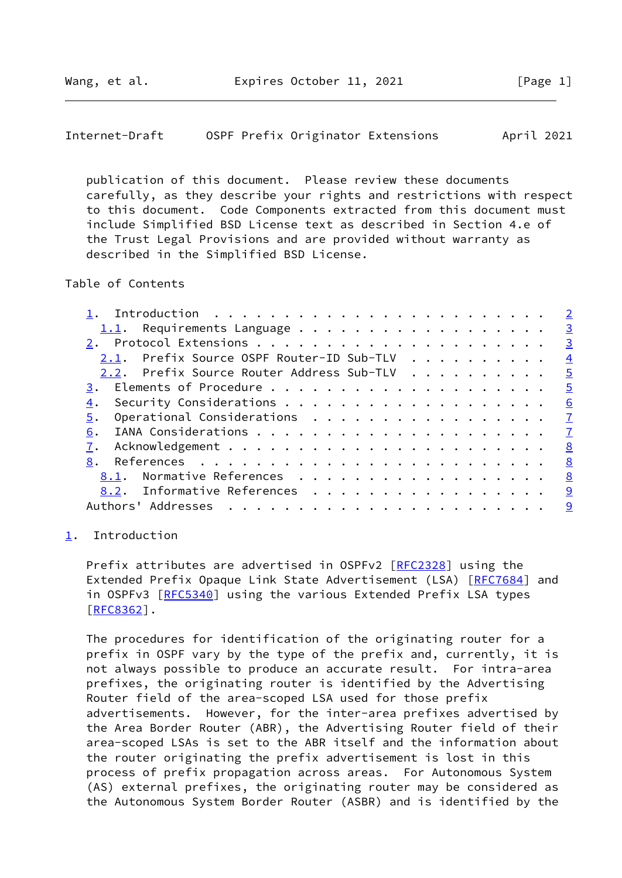<span id="page-1-1"></span>

| Internet-Draft |  |  |  | OSPF Prefix Originator Extensions | April 2021 |  |
|----------------|--|--|--|-----------------------------------|------------|--|
|----------------|--|--|--|-----------------------------------|------------|--|

 publication of this document. Please review these documents carefully, as they describe your rights and restrictions with respect to this document. Code Components extracted from this document must include Simplified BSD License text as described in Section 4.e of the Trust Legal Provisions and are provided without warranty as described in the Simplified BSD License.

## Table of Contents

|                                                           | $\overline{\phantom{0}}$ 2 |
|-----------------------------------------------------------|----------------------------|
|                                                           | $\overline{\mathbf{3}}$    |
|                                                           | $\overline{\phantom{0}}$   |
| 2.1. Prefix Source OSPF Router-ID Sub-TLV $\frac{4}{100}$ |                            |
| 2.2. Prefix Source Router Address Sub-TLV                 | $\overline{\phantom{0}}$   |
|                                                           | $\overline{5}$             |
| 4.                                                        | 6                          |
| Operational Considerations<br>5.                          | $\overline{1}$             |
| 6.                                                        |                            |
|                                                           | <u>8</u>                   |
| 8.                                                        | <u>8</u>                   |
| 8.1. Normative References                                 | $\frac{8}{2}$              |
| 8.2. Informative References                               | <u>g</u>                   |
|                                                           | <u>9</u>                   |
|                                                           |                            |

## <span id="page-1-0"></span>[1](#page-1-0). Introduction

Prefix attributes are advertised in OSPFv2 [[RFC2328\]](https://datatracker.ietf.org/doc/pdf/rfc2328) using the Extended Prefix Opaque Link State Advertisement (LSA) [[RFC7684](https://datatracker.ietf.org/doc/pdf/rfc7684)] and in OSPFv3 [[RFC5340](https://datatracker.ietf.org/doc/pdf/rfc5340)] using the various Extended Prefix LSA types [\[RFC8362](https://datatracker.ietf.org/doc/pdf/rfc8362)].

 The procedures for identification of the originating router for a prefix in OSPF vary by the type of the prefix and, currently, it is not always possible to produce an accurate result. For intra-area prefixes, the originating router is identified by the Advertising Router field of the area-scoped LSA used for those prefix advertisements. However, for the inter-area prefixes advertised by the Area Border Router (ABR), the Advertising Router field of their area-scoped LSAs is set to the ABR itself and the information about the router originating the prefix advertisement is lost in this process of prefix propagation across areas. For Autonomous System (AS) external prefixes, the originating router may be considered as the Autonomous System Border Router (ASBR) and is identified by the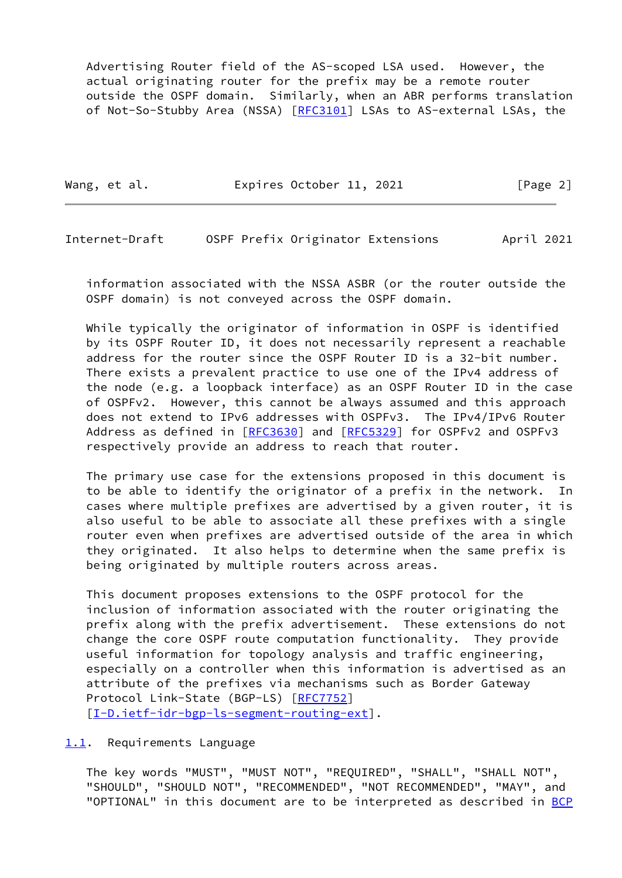Advertising Router field of the AS-scoped LSA used. However, the actual originating router for the prefix may be a remote router outside the OSPF domain. Similarly, when an ABR performs translation of Not-So-Stubby Area (NSSA) [\[RFC3101](https://datatracker.ietf.org/doc/pdf/rfc3101)] LSAs to AS-external LSAs, the

Wang, et al. **Expires October 11, 2021** [Page 2]

<span id="page-2-1"></span>Internet-Draft OSPF Prefix Originator Extensions April 2021

 information associated with the NSSA ASBR (or the router outside the OSPF domain) is not conveyed across the OSPF domain.

 While typically the originator of information in OSPF is identified by its OSPF Router ID, it does not necessarily represent a reachable address for the router since the OSPF Router ID is a 32-bit number. There exists a prevalent practice to use one of the IPv4 address of the node (e.g. a loopback interface) as an OSPF Router ID in the case of OSPFv2. However, this cannot be always assumed and this approach does not extend to IPv6 addresses with OSPFv3. The IPv4/IPv6 Router Address as defined in [[RFC3630](https://datatracker.ietf.org/doc/pdf/rfc3630)] and [\[RFC5329](https://datatracker.ietf.org/doc/pdf/rfc5329)] for OSPFv2 and OSPFv3 respectively provide an address to reach that router.

 The primary use case for the extensions proposed in this document is to be able to identify the originator of a prefix in the network. In cases where multiple prefixes are advertised by a given router, it is also useful to be able to associate all these prefixes with a single router even when prefixes are advertised outside of the area in which they originated. It also helps to determine when the same prefix is being originated by multiple routers across areas.

 This document proposes extensions to the OSPF protocol for the inclusion of information associated with the router originating the prefix along with the prefix advertisement. These extensions do not change the core OSPF route computation functionality. They provide useful information for topology analysis and traffic engineering, especially on a controller when this information is advertised as an attribute of the prefixes via mechanisms such as Border Gateway Protocol Link-State (BGP-LS) [\[RFC7752](https://datatracker.ietf.org/doc/pdf/rfc7752)] [\[I-D.ietf-idr-bgp-ls-segment-routing-ext](#page-9-2)].

<span id="page-2-0"></span>[1.1](#page-2-0). Requirements Language

 The key words "MUST", "MUST NOT", "REQUIRED", "SHALL", "SHALL NOT", "SHOULD", "SHOULD NOT", "RECOMMENDED", "NOT RECOMMENDED", "MAY", and "OPTIONAL" in this document are to be interpreted as described in [BCP](https://datatracker.ietf.org/doc/pdf/bcp14)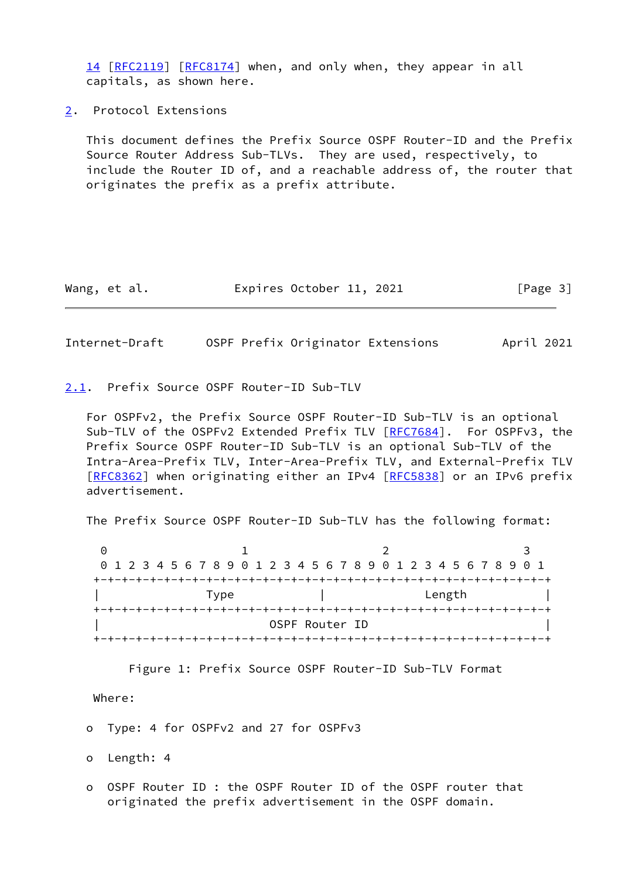[14](https://datatracker.ietf.org/doc/pdf/bcp14) [[RFC2119\]](https://datatracker.ietf.org/doc/pdf/rfc2119) [\[RFC8174](https://datatracker.ietf.org/doc/pdf/rfc8174)] when, and only when, they appear in all capitals, as shown here.

<span id="page-3-0"></span>[2](#page-3-0). Protocol Extensions

 This document defines the Prefix Source OSPF Router-ID and the Prefix Source Router Address Sub-TLVs. They are used, respectively, to include the Router ID of, and a reachable address of, the router that originates the prefix as a prefix attribute.

| Wang, et al. | Expires October 11, 2021 |  | [Page 3] |
|--------------|--------------------------|--|----------|
|--------------|--------------------------|--|----------|

<span id="page-3-2"></span>Internet-Draft OSPF Prefix Originator Extensions April 2021

<span id="page-3-1"></span>[2.1](#page-3-1). Prefix Source OSPF Router-ID Sub-TLV

 For OSPFv2, the Prefix Source OSPF Router-ID Sub-TLV is an optional Sub-TLV of the OSPFv2 Extended Prefix TLV [[RFC7684](https://datatracker.ietf.org/doc/pdf/rfc7684)]. For OSPFv3, the Prefix Source OSPF Router-ID Sub-TLV is an optional Sub-TLV of the Intra-Area-Prefix TLV, Inter-Area-Prefix TLV, and External-Prefix TLV [\[RFC8362](https://datatracker.ietf.org/doc/pdf/rfc8362)] when originating either an IPv4 [[RFC5838](https://datatracker.ietf.org/doc/pdf/rfc5838)] or an IPv6 prefix advertisement.

The Prefix Source OSPF Router-ID Sub-TLV has the following format:

0 1 2 3 0 1 2 3 4 5 6 7 8 9 0 1 2 3 4 5 6 7 8 9 0 1 2 3 4 5 6 7 8 9 0 1 +-+-+-+-+-+-+-+-+-+-+-+-+-+-+-+-+-+-+-+-+-+-+-+-+-+-+-+-+-+-+-+-+ | Type | Length | +-+-+-+-+-+-+-+-+-+-+-+-+-+-+-+-+-+-+-+-+-+-+-+-+-+-+-+-+-+-+-+-+ OSPF Router ID +-+-+-+-+-+-+-+-+-+-+-+-+-+-+-+-+-+-+-+-+-+-+-+-+-+-+-+-+-+-+-+-+

Figure 1: Prefix Source OSPF Router-ID Sub-TLV Format

Where:

o Type: 4 for OSPFv2 and 27 for OSPFv3

o Length: 4

 o OSPF Router ID : the OSPF Router ID of the OSPF router that originated the prefix advertisement in the OSPF domain.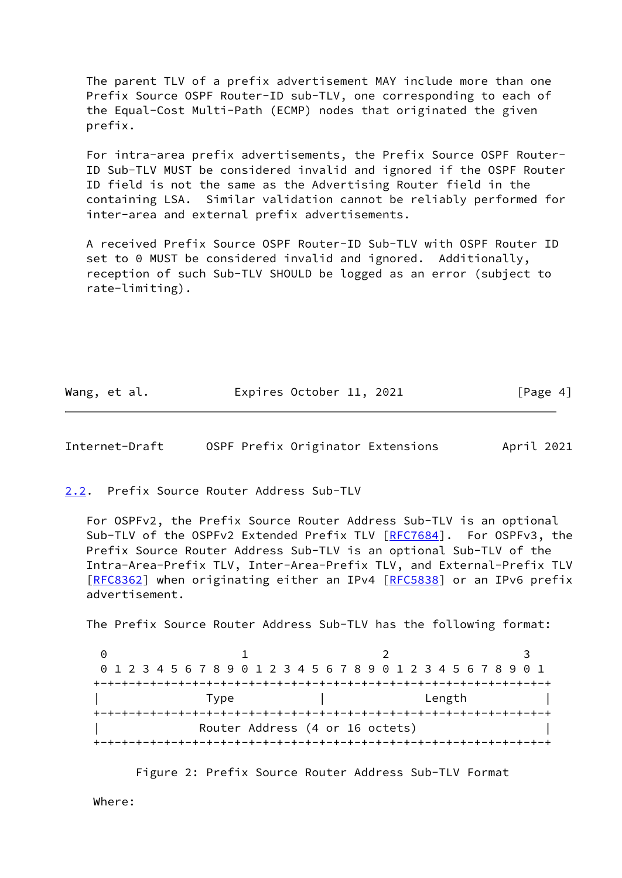The parent TLV of a prefix advertisement MAY include more than one Prefix Source OSPF Router-ID sub-TLV, one corresponding to each of the Equal-Cost Multi-Path (ECMP) nodes that originated the given prefix.

 For intra-area prefix advertisements, the Prefix Source OSPF Router- ID Sub-TLV MUST be considered invalid and ignored if the OSPF Router ID field is not the same as the Advertising Router field in the containing LSA. Similar validation cannot be reliably performed for inter-area and external prefix advertisements.

 A received Prefix Source OSPF Router-ID Sub-TLV with OSPF Router ID set to 0 MUST be considered invalid and ignored. Additionally, reception of such Sub-TLV SHOULD be logged as an error (subject to rate-limiting).

Wang, et al. **Expires October 11, 2021** [Page 4]

<span id="page-4-1"></span>Internet-Draft OSPF Prefix Originator Extensions April 2021

<span id="page-4-0"></span>[2.2](#page-4-0). Prefix Source Router Address Sub-TLV

 For OSPFv2, the Prefix Source Router Address Sub-TLV is an optional Sub-TLV of the OSPFv2 Extended Prefix TLV [[RFC7684](https://datatracker.ietf.org/doc/pdf/rfc7684)]. For OSPFv3, the Prefix Source Router Address Sub-TLV is an optional Sub-TLV of the Intra-Area-Prefix TLV, Inter-Area-Prefix TLV, and External-Prefix TLV [\[RFC8362](https://datatracker.ietf.org/doc/pdf/rfc8362)] when originating either an IPv4 [[RFC5838](https://datatracker.ietf.org/doc/pdf/rfc5838)] or an IPv6 prefix advertisement.

The Prefix Source Router Address Sub-TLV has the following format:

|      | 0 1 2 3 4 5 6 7 8 9 0 1 2 3 4 5 6 7 8 9 0 1 2 3 4 5 6 7 8 9 0 1 |        |  |
|------|-----------------------------------------------------------------|--------|--|
|      |                                                                 |        |  |
| Type |                                                                 | Length |  |
|      |                                                                 |        |  |
|      | Router Address (4 or 16 octets)                                 |        |  |
|      |                                                                 |        |  |

Figure 2: Prefix Source Router Address Sub-TLV Format

Where: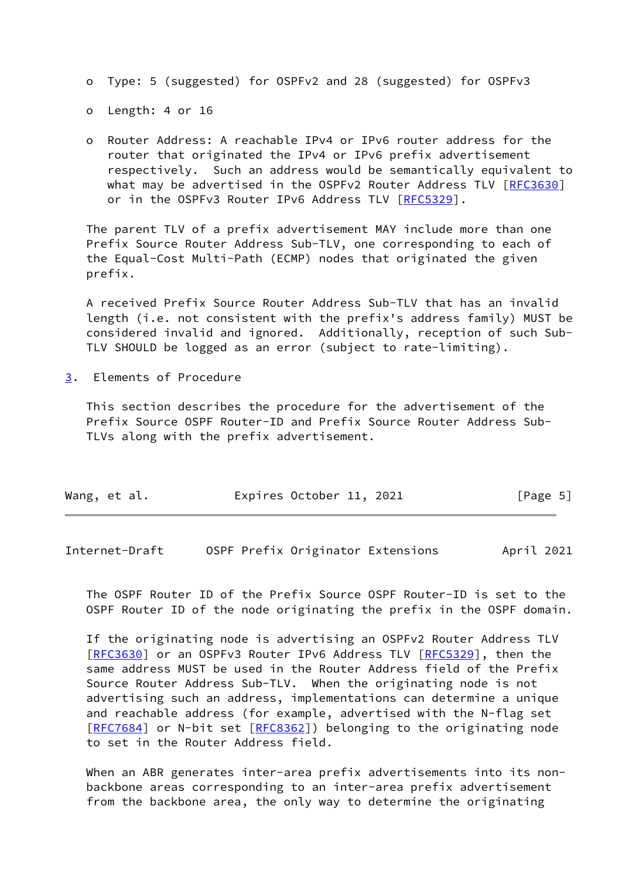- o Type: 5 (suggested) for OSPFv2 and 28 (suggested) for OSPFv3
- o Length: 4 or 16
- o Router Address: A reachable IPv4 or IPv6 router address for the router that originated the IPv4 or IPv6 prefix advertisement respectively. Such an address would be semantically equivalent to what may be advertised in the OSPFv2 Router Address TLV [[RFC3630\]](https://datatracker.ietf.org/doc/pdf/rfc3630) or in the OSPFv3 Router IPv6 Address TLV [\[RFC5329](https://datatracker.ietf.org/doc/pdf/rfc5329)].

 The parent TLV of a prefix advertisement MAY include more than one Prefix Source Router Address Sub-TLV, one corresponding to each of the Equal-Cost Multi-Path (ECMP) nodes that originated the given prefix.

 A received Prefix Source Router Address Sub-TLV that has an invalid length (i.e. not consistent with the prefix's address family) MUST be considered invalid and ignored. Additionally, reception of such Sub- TLV SHOULD be logged as an error (subject to rate-limiting).

<span id="page-5-0"></span>[3](#page-5-0). Elements of Procedure

 This section describes the procedure for the advertisement of the Prefix Source OSPF Router-ID and Prefix Source Router Address Sub- TLVs along with the prefix advertisement.

|  | Wang, et al. |  | Expires October 11, 2021 |  |  | [Page 5] |  |
|--|--------------|--|--------------------------|--|--|----------|--|
|--|--------------|--|--------------------------|--|--|----------|--|

<span id="page-5-1"></span>Internet-Draft OSPF Prefix Originator Extensions April 2021

 The OSPF Router ID of the Prefix Source OSPF Router-ID is set to the OSPF Router ID of the node originating the prefix in the OSPF domain.

 If the originating node is advertising an OSPFv2 Router Address TLV [\[RFC3630](https://datatracker.ietf.org/doc/pdf/rfc3630)] or an OSPFv3 Router IPv6 Address TLV [\[RFC5329](https://datatracker.ietf.org/doc/pdf/rfc5329)], then the same address MUST be used in the Router Address field of the Prefix Source Router Address Sub-TLV. When the originating node is not advertising such an address, implementations can determine a unique and reachable address (for example, advertised with the N-flag set [\[RFC7684](https://datatracker.ietf.org/doc/pdf/rfc7684)] or N-bit set [\[RFC8362](https://datatracker.ietf.org/doc/pdf/rfc8362)]) belonging to the originating node to set in the Router Address field.

When an ABR generates inter-area prefix advertisements into its non backbone areas corresponding to an inter-area prefix advertisement from the backbone area, the only way to determine the originating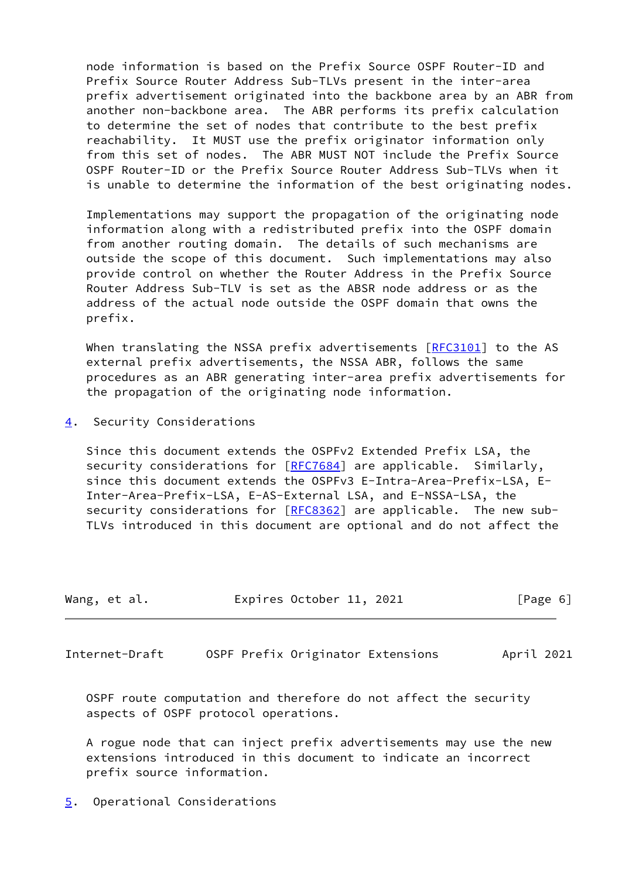node information is based on the Prefix Source OSPF Router-ID and Prefix Source Router Address Sub-TLVs present in the inter-area prefix advertisement originated into the backbone area by an ABR from another non-backbone area. The ABR performs its prefix calculation to determine the set of nodes that contribute to the best prefix reachability. It MUST use the prefix originator information only from this set of nodes. The ABR MUST NOT include the Prefix Source OSPF Router-ID or the Prefix Source Router Address Sub-TLVs when it is unable to determine the information of the best originating nodes.

 Implementations may support the propagation of the originating node information along with a redistributed prefix into the OSPF domain from another routing domain. The details of such mechanisms are outside the scope of this document. Such implementations may also provide control on whether the Router Address in the Prefix Source Router Address Sub-TLV is set as the ABSR node address or as the address of the actual node outside the OSPF domain that owns the prefix.

When translating the NSSA prefix advertisements [\[RFC3101](https://datatracker.ietf.org/doc/pdf/rfc3101)] to the AS external prefix advertisements, the NSSA ABR, follows the same procedures as an ABR generating inter-area prefix advertisements for the propagation of the originating node information.

<span id="page-6-0"></span>[4](#page-6-0). Security Considerations

 Since this document extends the OSPFv2 Extended Prefix LSA, the security considerations for [\[RFC7684](https://datatracker.ietf.org/doc/pdf/rfc7684)] are applicable. Similarly, since this document extends the OSPFv3 E-Intra-Area-Prefix-LSA, E- Inter-Area-Prefix-LSA, E-AS-External LSA, and E-NSSA-LSA, the security considerations for [\[RFC8362](https://datatracker.ietf.org/doc/pdf/rfc8362)] are applicable. The new sub-TLVs introduced in this document are optional and do not affect the

| Wang, et al. | Expires October 11, 2021 | [Page 6] |
|--------------|--------------------------|----------|
|--------------|--------------------------|----------|

<span id="page-6-2"></span>Internet-Draft OSPF Prefix Originator Extensions April 2021

 OSPF route computation and therefore do not affect the security aspects of OSPF protocol operations.

 A rogue node that can inject prefix advertisements may use the new extensions introduced in this document to indicate an incorrect prefix source information.

<span id="page-6-1"></span>[5](#page-6-1). Operational Considerations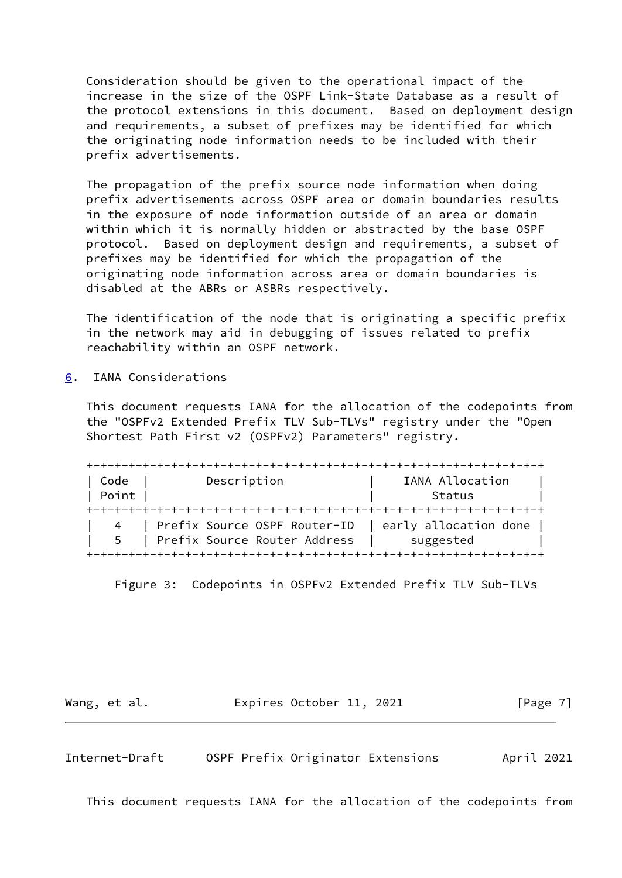Consideration should be given to the operational impact of the increase in the size of the OSPF Link-State Database as a result of the protocol extensions in this document. Based on deployment design and requirements, a subset of prefixes may be identified for which the originating node information needs to be included with their prefix advertisements.

 The propagation of the prefix source node information when doing prefix advertisements across OSPF area or domain boundaries results in the exposure of node information outside of an area or domain within which it is normally hidden or abstracted by the base OSPF protocol. Based on deployment design and requirements, a subset of prefixes may be identified for which the propagation of the originating node information across area or domain boundaries is disabled at the ABRs or ASBRs respectively.

 The identification of the node that is originating a specific prefix in the network may aid in debugging of issues related to prefix reachability within an OSPF network.

<span id="page-7-0"></span>[6](#page-7-0). IANA Considerations

 This document requests IANA for the allocation of the codepoints from the "OSPFv2 Extended Prefix TLV Sub-TLVs" registry under the "Open Shortest Path First v2 (OSPFv2) Parameters" registry.

| Code  | Description                      | IANA Allocation       |
|-------|----------------------------------|-----------------------|
| Point |                                  | Status                |
|       |                                  |                       |
|       | 4   Prefix Source OSPF Router-ID | early allocation done |
| 5     | Prefix Source Router Address     | suggested             |

Figure 3: Codepoints in OSPFv2 Extended Prefix TLV Sub-TLVs

Wang, et al. Expires October 11, 2021 [Page 7]

<span id="page-7-1"></span>Internet-Draft OSPF Prefix Originator Extensions April 2021

This document requests IANA for the allocation of the codepoints from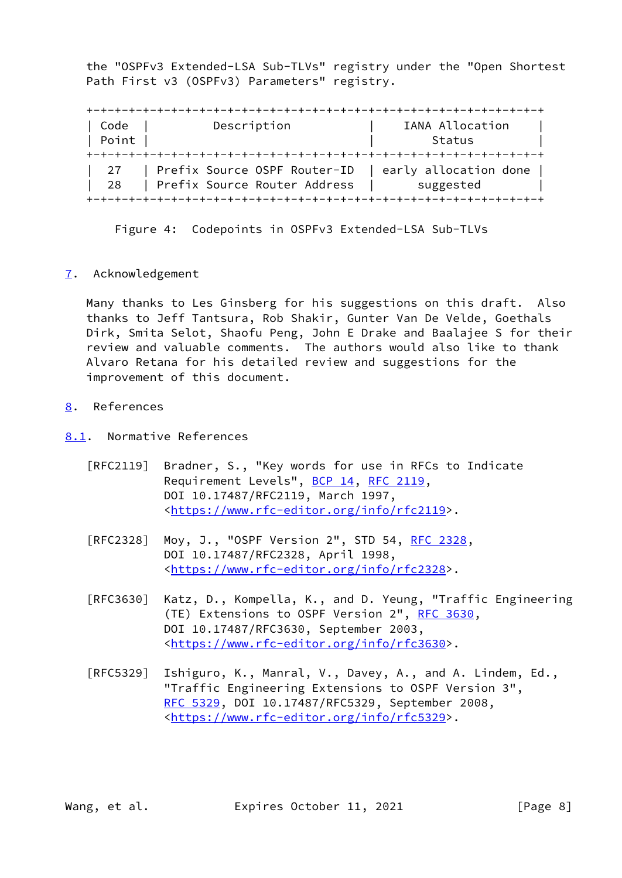the "OSPFv3 Extended-LSA Sub-TLVs" registry under the "Open Shortest Path First v3 (OSPFv3) Parameters" registry.

 +-+-+-+-+-+-+-+-+-+-+-+-+-+-+-+-+-+-+-+-+-+-+-+-+-+-+-+-+-+-+-+-+ | Code | Description | IANA Allocation | | Point | Status | Status | Status | Status | Status | Status | Status | Status | Status | Status | Status | Status | Status | Status | Status | Status | Status | Status | Status | Status | Status | Status | Status | Statu +-+-+-+-+-+-+-+-+-+-+-+-+-+-+-+-+-+-+-+-+-+-+-+-+-+-+-+-+-+-+-+-+ | 27 | Prefix Source OSPF Router-ID | early allocation done | | 28 | Prefix Source Router Address | suggested | +-+-+-+-+-+-+-+-+-+-+-+-+-+-+-+-+-+-+-+-+-+-+-+-+-+-+-+-+-+-+-+-+

Figure 4: Codepoints in OSPFv3 Extended-LSA Sub-TLVs

<span id="page-8-0"></span>[7](#page-8-0). Acknowledgement

 Many thanks to Les Ginsberg for his suggestions on this draft. Also thanks to Jeff Tantsura, Rob Shakir, Gunter Van De Velde, Goethals Dirk, Smita Selot, Shaofu Peng, John E Drake and Baalajee S for their review and valuable comments. The authors would also like to thank Alvaro Retana for his detailed review and suggestions for the improvement of this document.

<span id="page-8-1"></span>[8](#page-8-1). References

<span id="page-8-2"></span>[8.1](#page-8-2). Normative References

- [RFC2119] Bradner, S., "Key words for use in RFCs to Indicate Requirement Levels", [BCP 14](https://datatracker.ietf.org/doc/pdf/bcp14), [RFC 2119](https://datatracker.ietf.org/doc/pdf/rfc2119), DOI 10.17487/RFC2119, March 1997, <[https://www.rfc-editor.org/info/rfc2119>](https://www.rfc-editor.org/info/rfc2119).
- [RFC2328] Moy, J., "OSPF Version 2", STD 54, [RFC 2328](https://datatracker.ietf.org/doc/pdf/rfc2328), DOI 10.17487/RFC2328, April 1998, <[https://www.rfc-editor.org/info/rfc2328>](https://www.rfc-editor.org/info/rfc2328).
- [RFC3630] Katz, D., Kompella, K., and D. Yeung, "Traffic Engineering (TE) Extensions to OSPF Version 2", [RFC 3630,](https://datatracker.ietf.org/doc/pdf/rfc3630) DOI 10.17487/RFC3630, September 2003, <[https://www.rfc-editor.org/info/rfc3630>](https://www.rfc-editor.org/info/rfc3630).
- [RFC5329] Ishiguro, K., Manral, V., Davey, A., and A. Lindem, Ed., "Traffic Engineering Extensions to OSPF Version 3", [RFC 5329,](https://datatracker.ietf.org/doc/pdf/rfc5329) DOI 10.17487/RFC5329, September 2008, <[https://www.rfc-editor.org/info/rfc5329>](https://www.rfc-editor.org/info/rfc5329).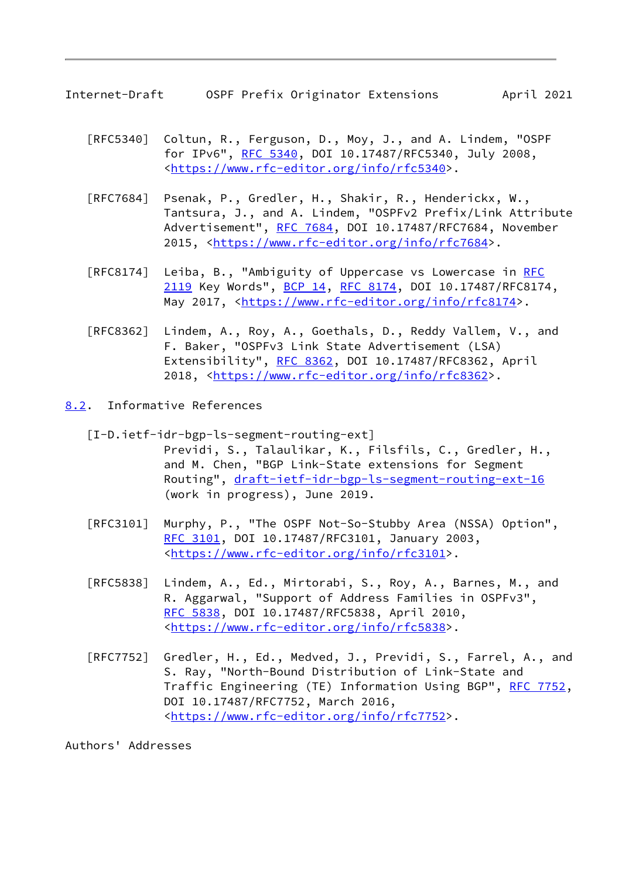<span id="page-9-1"></span>Internet-Draft OSPF Prefix Originator Extensions April 2021

- [RFC5340] Coltun, R., Ferguson, D., Moy, J., and A. Lindem, "OSPF for IPv6", [RFC 5340](https://datatracker.ietf.org/doc/pdf/rfc5340), DOI 10.17487/RFC5340, July 2008, <[https://www.rfc-editor.org/info/rfc5340>](https://www.rfc-editor.org/info/rfc5340).
- [RFC7684] Psenak, P., Gredler, H., Shakir, R., Henderickx, W., Tantsura, J., and A. Lindem, "OSPFv2 Prefix/Link Attribute Advertisement", [RFC 7684,](https://datatracker.ietf.org/doc/pdf/rfc7684) DOI 10.17487/RFC7684, November 2015, [<https://www.rfc-editor.org/info/rfc7684](https://www.rfc-editor.org/info/rfc7684)>.
- [RFC8174] Leiba, B., "Ambiguity of Uppercase vs Lowercase in [RFC](https://datatracker.ietf.org/doc/pdf/rfc2119) [2119](https://datatracker.ietf.org/doc/pdf/rfc2119) Key Words", [BCP 14](https://datatracker.ietf.org/doc/pdf/bcp14), [RFC 8174,](https://datatracker.ietf.org/doc/pdf/rfc8174) DOI 10.17487/RFC8174, May 2017, [<https://www.rfc-editor.org/info/rfc8174](https://www.rfc-editor.org/info/rfc8174)>.
- [RFC8362] Lindem, A., Roy, A., Goethals, D., Reddy Vallem, V., and F. Baker, "OSPFv3 Link State Advertisement (LSA) Extensibility", [RFC 8362,](https://datatracker.ietf.org/doc/pdf/rfc8362) DOI 10.17487/RFC8362, April 2018, [<https://www.rfc-editor.org/info/rfc8362](https://www.rfc-editor.org/info/rfc8362)>.
- <span id="page-9-2"></span><span id="page-9-0"></span>[8.2](#page-9-0). Informative References
	- [I-D.ietf-idr-bgp-ls-segment-routing-ext] Previdi, S., Talaulikar, K., Filsfils, C., Gredler, H., and M. Chen, "BGP Link-State extensions for Segment Routing", [draft-ietf-idr-bgp-ls-segment-routing-ext-16](https://datatracker.ietf.org/doc/pdf/draft-ietf-idr-bgp-ls-segment-routing-ext-16) (work in progress), June 2019.
	- [RFC3101] Murphy, P., "The OSPF Not-So-Stubby Area (NSSA) Option", [RFC 3101,](https://datatracker.ietf.org/doc/pdf/rfc3101) DOI 10.17487/RFC3101, January 2003, <[https://www.rfc-editor.org/info/rfc3101>](https://www.rfc-editor.org/info/rfc3101).
	- [RFC5838] Lindem, A., Ed., Mirtorabi, S., Roy, A., Barnes, M., and R. Aggarwal, "Support of Address Families in OSPFv3", [RFC 5838,](https://datatracker.ietf.org/doc/pdf/rfc5838) DOI 10.17487/RFC5838, April 2010, <[https://www.rfc-editor.org/info/rfc5838>](https://www.rfc-editor.org/info/rfc5838).
	- [RFC7752] Gredler, H., Ed., Medved, J., Previdi, S., Farrel, A., and S. Ray, "North-Bound Distribution of Link-State and Traffic Engineering (TE) Information Using BGP", [RFC 7752,](https://datatracker.ietf.org/doc/pdf/rfc7752) DOI 10.17487/RFC7752, March 2016, <[https://www.rfc-editor.org/info/rfc7752>](https://www.rfc-editor.org/info/rfc7752).

Authors' Addresses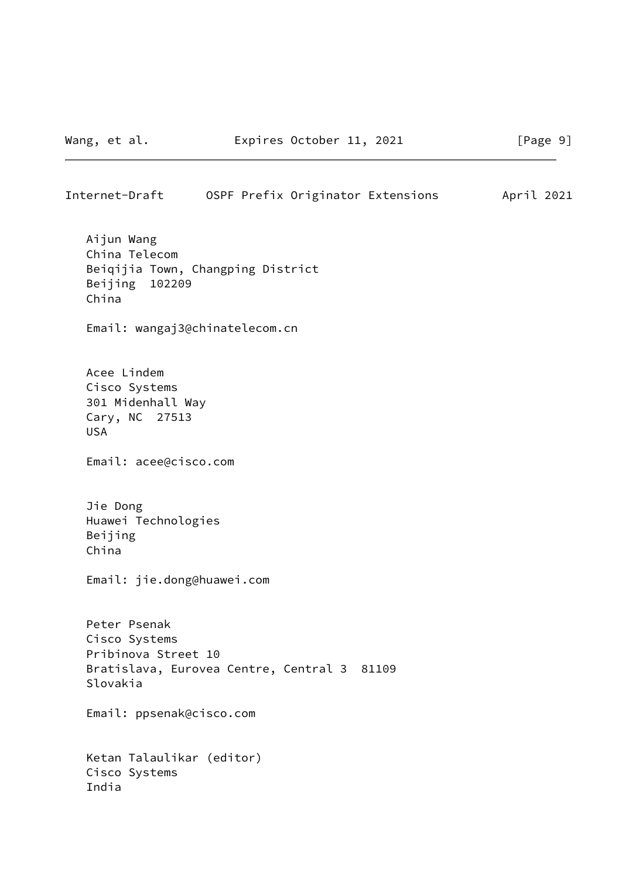## Internet-Draft OSPF Prefix Originator Extensions April 2021

 Aijun Wang China Telecom Beiqijia Town, Changping District Beijing 102209 China

Email: wangaj3@chinatelecom.cn

 Acee Lindem Cisco Systems 301 Midenhall Way Cary, NC 27513 USA

Email: acee@cisco.com

 Jie Dong Huawei Technologies Beijing China

Email: jie.dong@huawei.com

 Peter Psenak Cisco Systems Pribinova Street 10 Bratislava, Eurovea Centre, Central 3 81109 Slovakia

Email: ppsenak@cisco.com

 Ketan Talaulikar (editor) Cisco Systems India